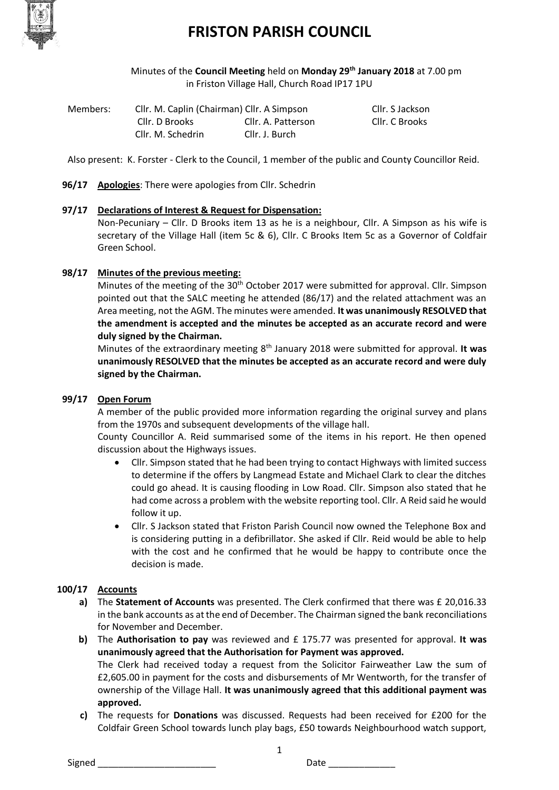

Minutes of the **Council Meeting** held on **Monday 29th January 2018** at 7.00 pm in Friston Village Hall, Church Road IP17 1PU

| Members: | Cllr. M. Caplin (Chairman) Cllr. A Simpson |                    | Cllr. S Jackson |
|----------|--------------------------------------------|--------------------|-----------------|
|          | Cllr. D Brooks                             | Cllr. A. Patterson | Cllr. C Brooks  |
|          | Cllr. M. Schedrin                          | Cllr. J. Burch     |                 |

Also present: K. Forster - Clerk to the Council, 1 member of the public and County Councillor Reid.

**96/17 Apologies**: There were apologies from Cllr. Schedrin

## **97/17 Declarations of Interest & Request for Dispensation:**

Non-Pecuniary – Cllr. D Brooks item 13 as he is a neighbour, Cllr. A Simpson as his wife is secretary of the Village Hall (item 5c & 6), Cllr. C Brooks Item 5c as a Governor of Coldfair Green School.

## **98/17 Minutes of the previous meeting:**

Minutes of the meeting of the 30<sup>th</sup> October 2017 were submitted for approval. Cllr. Simpson pointed out that the SALC meeting he attended (86/17) and the related attachment was an Area meeting, not the AGM. The minutes were amended. **It was unanimously RESOLVED that the amendment is accepted and the minutes be accepted as an accurate record and were duly signed by the Chairman.**

Minutes of the extraordinary meeting 8th January 2018 were submitted for approval. **It was unanimously RESOLVED that the minutes be accepted as an accurate record and were duly signed by the Chairman.**

## **99/17 Open Forum**

A member of the public provided more information regarding the original survey and plans from the 1970s and subsequent developments of the village hall.

County Councillor A. Reid summarised some of the items in his report. He then opened discussion about the Highways issues.

- Cllr. Simpson stated that he had been trying to contact Highways with limited success to determine if the offers by Langmead Estate and Michael Clark to clear the ditches could go ahead. It is causing flooding in Low Road. Cllr. Simpson also stated that he had come across a problem with the website reporting tool. Cllr. A Reid said he would follow it up.
- Cllr. S Jackson stated that Friston Parish Council now owned the Telephone Box and is considering putting in a defibrillator. She asked if Cllr. Reid would be able to help with the cost and he confirmed that he would be happy to contribute once the decision is made.

## **100/17 Accounts**

- **a)** The **Statement of Accounts** was presented. The Clerk confirmed that there was £ 20,016.33 in the bank accounts as at the end of December. The Chairman signed the bank reconciliations for November and December.
- **b)** The **Authorisation to pay** was reviewed and £ 175.77 was presented for approval. **It was unanimously agreed that the Authorisation for Payment was approved.** The Clerk had received today a request from the Solicitor Fairweather Law the sum of £2,605.00 in payment for the costs and disbursements of Mr Wentworth, for the transfer of ownership of the Village Hall. **It was unanimously agreed that this additional payment was approved.**
- **c)** The requests for **Donations** was discussed. Requests had been received for £200 for the Coldfair Green School towards lunch play bags, £50 towards Neighbourhood watch support,

1

Signed \_\_\_\_\_\_\_\_\_\_\_\_\_\_\_\_\_\_\_\_\_\_\_ Date \_\_\_\_\_\_\_\_\_\_\_\_\_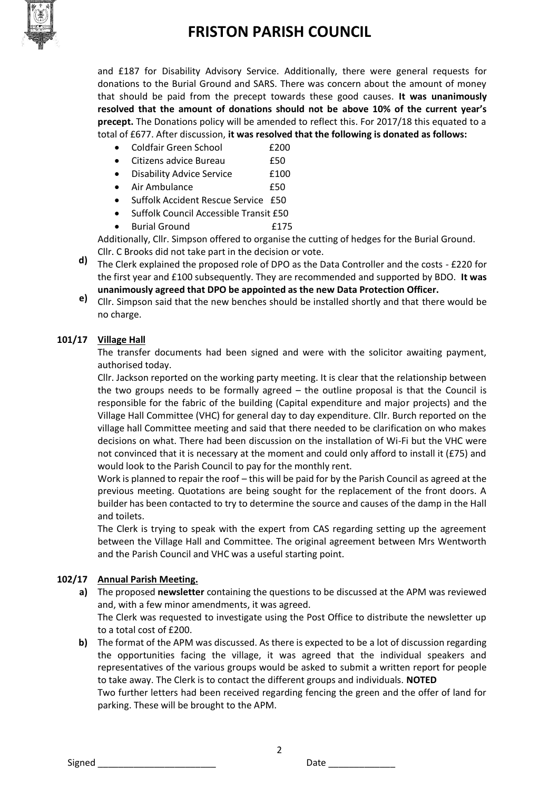

and £187 for Disability Advisory Service. Additionally, there were general requests for donations to the Burial Ground and SARS. There was concern about the amount of money that should be paid from the precept towards these good causes. **It was unanimously resolved that the amount of donations should not be above 10% of the current year's precept.** The Donations policy will be amended to reflect this. For 2017/18 this equated to a total of £677. After discussion, **it was resolved that the following is donated as follows:**

- Coldfair Green School **E200**
- Citizens advice Bureau £50

• Disability Advice Service F100

- Air Ambulance **E50**
- Suffolk Accident Rescue Service £50
- Suffolk Council Accessible Transit £50
- Burial Ground **E175**

Additionally, Cllr. Simpson offered to organise the cutting of hedges for the Burial Ground. Cllr. C Brooks did not take part in the decision or vote.

- **d)** The Clerk explained the proposed role of DPO as the Data Controller and the costs £220 for the first year and £100 subsequently. They are recommended and supported by BDO. **It was unanimously agreed that DPO be appointed as the new Data Protection Officer.**
- **e)** Cllr. Simpson said that the new benches should be installed shortly and that there would be no charge.

## **101/17 Village Hall**

The transfer documents had been signed and were with the solicitor awaiting payment, authorised today.

Cllr. Jackson reported on the working party meeting. It is clear that the relationship between the two groups needs to be formally agreed  $-$  the outline proposal is that the Council is responsible for the fabric of the building (Capital expenditure and major projects) and the Village Hall Committee (VHC) for general day to day expenditure. Cllr. Burch reported on the village hall Committee meeting and said that there needed to be clarification on who makes decisions on what. There had been discussion on the installation of Wi-Fi but the VHC were not convinced that it is necessary at the moment and could only afford to install it (£75) and would look to the Parish Council to pay for the monthly rent.

Work is planned to repair the roof – this will be paid for by the Parish Council as agreed at the previous meeting. Quotations are being sought for the replacement of the front doors. A builder has been contacted to try to determine the source and causes of the damp in the Hall and toilets.

The Clerk is trying to speak with the expert from CAS regarding setting up the agreement between the Village Hall and Committee. The original agreement between Mrs Wentworth and the Parish Council and VHC was a useful starting point.

## **102/17 Annual Parish Meeting.**

**a)** The proposed **newsletter** containing the questions to be discussed at the APM was reviewed and, with a few minor amendments, it was agreed.

The Clerk was requested to investigate using the Post Office to distribute the newsletter up to a total cost of £200.

**b)** The format of the APM was discussed. As there is expected to be a lot of discussion regarding the opportunities facing the village, it was agreed that the individual speakers and representatives of the various groups would be asked to submit a written report for people to take away. The Clerk is to contact the different groups and individuals. **NOTED** Two further letters had been received regarding fencing the green and the offer of land for parking. These will be brought to the APM.

2

Signed \_\_\_\_\_\_\_\_\_\_\_\_\_\_\_\_\_\_\_\_\_\_\_ Date \_\_\_\_\_\_\_\_\_\_\_\_\_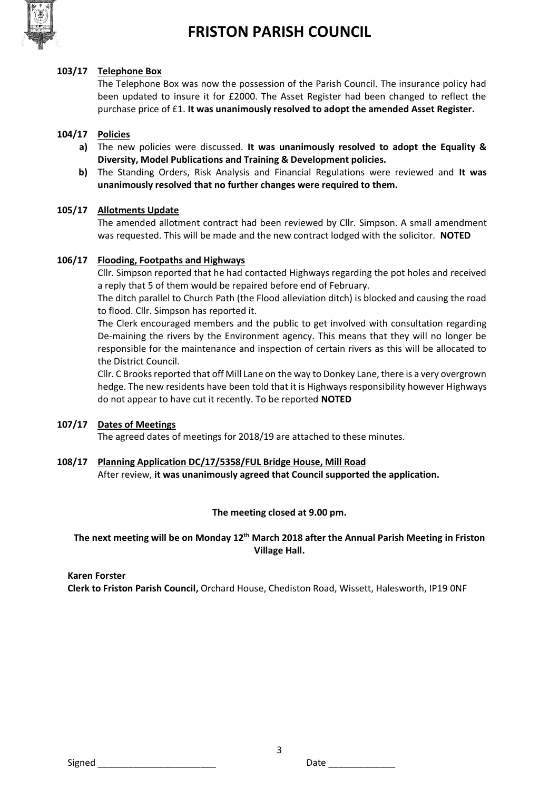

#### **103/17 Telephone Box**

The Telephone Box was now the possession of the Parish Council. The insurance policy had been updated to insure it for £2000. The Asset Register had been changed to reflect the purchase price of £1. **It was unanimously resolved to adopt the amended Asset Register.**

### **104/17 Policies**

- **a)** The new policies were discussed. **It was unanimously resolved to adopt the Equality & Diversity, Model Publications and Training & Development policies.**
- **b)** The Standing Orders, Risk Analysis and Financial Regulations were reviewed and **It was unanimously resolved that no further changes were required to them.**

#### **105/17 Allotments Update**

The amended allotment contract had been reviewed by Cllr. Simpson. A small amendment was requested. This will be made and the new contract lodged with the solicitor. **NOTED**

#### **106/17 Flooding, Footpaths and Highways**

Cllr. Simpson reported that he had contacted Highways regarding the pot holes and received a reply that 5 of them would be repaired before end of February.

The ditch parallel to Church Path (the Flood alleviation ditch) is blocked and causing the road to flood. Cllr. Simpson has reported it.

The Clerk encouraged members and the public to get involved with consultation regarding De-maining the rivers by the Environment agency. This means that they will no longer be responsible for the maintenance and inspection of certain rivers as this will be allocated to the District Council.

Cllr. C Brooks reported that off Mill Lane on the way to Donkey Lane, there is a very overgrown hedge. The new residents have been told that it is Highways responsibility however Highways do not appear to have cut it recently. To be reported **NOTED**

### **107/17 Dates of Meetings**

The agreed dates of meetings for 2018/19 are attached to these minutes.

#### **108/17 Planning Application DC/17/5358/FUL Bridge House, Mill Road**

After review, **it was unanimously agreed that Council supported the application.**

#### **The meeting closed at 9.00 pm.**

### **The next meeting will be on Monday 12th March 2018 after the Annual Parish Meeting in Friston Village Hall.**

3

#### **Karen Forster**

**Clerk to Friston Parish Council,** Orchard House, Chediston Road, Wissett, Halesworth, IP19 0NF

Signed \_\_\_\_\_\_\_\_\_\_\_\_\_\_\_\_\_\_\_\_\_\_\_ Date \_\_\_\_\_\_\_\_\_\_\_\_\_